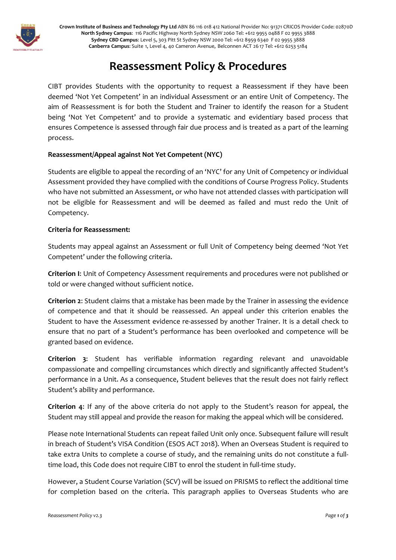

**Crown Institute of Business and Technology Pty Ltd** ABN 86 116 018 412 National Provider No: 91371 CRICOS Provider Code: 02870D **North Sydney Campus**: 116 Pacific Highway North Sydney NSW 2060 Tel: +612 9955 0488 F 02 9955 3888 **Sydney CBD Campus**: Level 5, 303 Pitt St Sydney NSW 2000 Tel: +612 8959 6340 F 02 9955 3888 **Canberra Campus**: Suite 1, Level 4, 40 Cameron Avenue, Belconnen ACT 26 17 Tel: +612 6253 5184

# **Reassessment Policy & Procedures**

CIBT provides Students with the opportunity to request a Reassessment if they have been deemed 'Not Yet Competent' in an individual Assessment or an entire Unit of Competency. The aim of Reassessment is for both the Student and Trainer to identify the reason for a Student being 'Not Yet Competent' and to provide a systematic and evidentiary based process that ensures Competence is assessed through fair due process and is treated as a part of the learning process.

# **Reassessment/Appeal against Not Yet Competent (NYC)**

Students are eligible to appeal the recording of an 'NYC' for any Unit of Competency or individual Assessment provided they have complied with the conditions of Course Progress Policy. Students who have not submitted an Assessment, or who have not attended classes with participation will not be eligible for Reassessment and will be deemed as failed and must redo the Unit of Competency.

# **Criteria for Reassessment:**

Students may appeal against an Assessment or full Unit of Competency being deemed 'Not Yet Competent' under the following criteria.

**Criterion I**: Unit of Competency Assessment requirements and procedures were not published or told or were changed without sufficient notice.

**Criterion 2**: Student claims that a mistake has been made by the Trainer in assessing the evidence of competence and that it should be reassessed. An appeal under this criterion enables the Student to have the Assessment evidence re-assessed by another Trainer. It is a detail check to ensure that no part of a Student's performance has been overlooked and competence will be granted based on evidence.

**Criterion 3**: Student has verifiable information regarding relevant and unavoidable compassionate and compelling circumstances which directly and significantly affected Student's performance in a Unit. As a consequence, Student believes that the result does not fairly reflect Student's ability and performance.

**Criterion 4**: If any of the above criteria do not apply to the Student's reason for appeal, the Student may still appeal and provide the reason for making the appeal which will be considered.

Please note International Students can repeat failed Unit only once. Subsequent failure will result in breach of Student's VISA Condition (ESOS ACT 2018). When an Overseas Student is required to take extra Units to complete a course of study, and the remaining units do not constitute a fulltime load, this Code does not require CIBT to enrol the student in full-time study.

However, a Student Course Variation (SCV) will be issued on PRISMS to reflect the additional time for completion based on the criteria. This paragraph applies to Overseas Students who are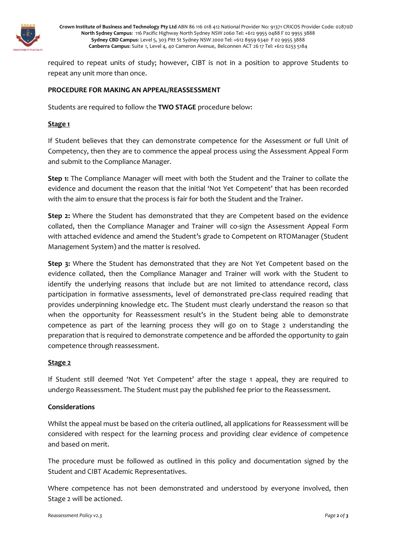

**Crown Institute of Business and Technology Pty Ltd** ABN 86 116 018 412 National Provider No: 91371 CRICOS Provider Code: 02870D **North Sydney Campus**: 116 Pacific Highway North Sydney NSW 2060 Tel: +612 9955 0488 F 02 9955 3888 **Sydney CBD Campus**: Level 5, 303 Pitt St Sydney NSW 2000 Tel: +612 8959 6340 F 02 9955 3888 **Canberra Campus**: Suite 1, Level 4, 40 Cameron Avenue, Belconnen ACT 26 17 Tel: +612 6253 5184

required to repeat units of study; however, CIBT is not in a position to approve Students to repeat any unit more than once.

#### **PROCEDURE FOR MAKING AN APPEAL/REASSESSMENT**

Students are required to follow the **TWO STAGE** procedure below:

#### **Stage 1**

If Student believes that they can demonstrate competence for the Assessment or full Unit of Competency, then they are to commence the appeal process using the Assessment Appeal Form and submit to the Compliance Manager.

**Step 1:** The Compliance Manager will meet with both the Student and the Trainer to collate the evidence and document the reason that the initial 'Not Yet Competent' that has been recorded with the aim to ensure that the process is fair for both the Student and the Trainer.

**Step 2:** Where the Student has demonstrated that they are Competent based on the evidence collated, then the Compliance Manager and Trainer will co-sign the Assessment Appeal Form with attached evidence and amend the Student's grade to Competent on RTOManager (Student Management System) and the matter is resolved.

**Step 3:** Where the Student has demonstrated that they are Not Yet Competent based on the evidence collated, then the Compliance Manager and Trainer will work with the Student to identify the underlying reasons that include but are not limited to attendance record, class participation in formative assessments, level of demonstrated pre-class required reading that provides underpinning knowledge etc. The Student must clearly understand the reason so that when the opportunity for Reassessment result's in the Student being able to demonstrate competence as part of the learning process they will go on to Stage 2 understanding the preparation that is required to demonstrate competence and be afforded the opportunity to gain competence through reassessment.

#### **Stage 2**

If Student still deemed 'Not Yet Competent' after the stage 1 appeal, they are required to undergo Reassessment. The Student must pay the published fee prior to the Reassessment.

#### **Considerations**

Whilst the appeal must be based on the criteria outlined, all applications for Reassessment will be considered with respect for the learning process and providing clear evidence of competence and based on merit.

The procedure must be followed as outlined in this policy and documentation signed by the Student and CIBT Academic Representatives.

Where competence has not been demonstrated and understood by everyone involved, then Stage 2 will be actioned.